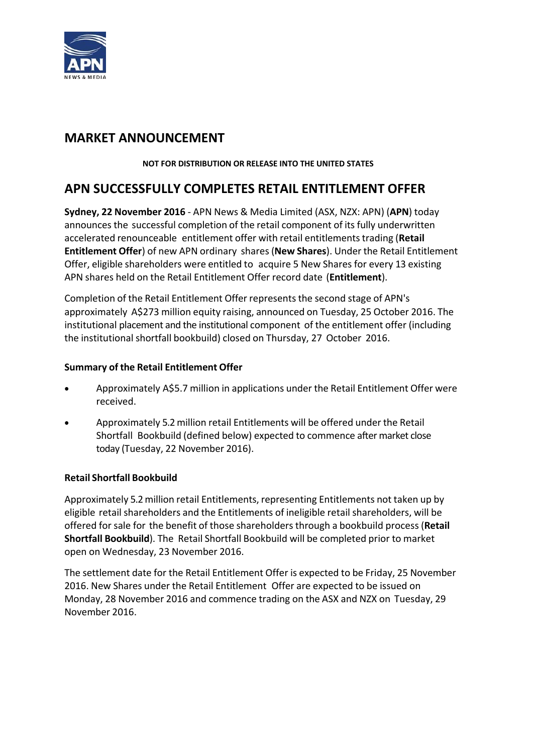

## **MARKET ANNOUNCEMENT**

#### **NOT FOR DISTRIBUTION OR RELEASE INTO THE UNITED STATES**

# **APN SUCCESSFULLY COMPLETES RETAIL ENTITLEMENT OFFER**

**Sydney, 22 November 2016** ‐ APN News & Media Limited (ASX, NZX: APN) (**APN**) today announces the successful completion of the retail component of its fully underwritten accelerated renounceable entitlement offer with retail entitlementstrading (**Retail Entitlement Offer**) of new APN ordinary shares(**New Shares**). Under the Retail Entitlement Offer, eligible shareholders were entitled to acquire 5 New Shares for every 13 existing APN shares held on the Retail Entitlement Offer record date (**Entitlement**).

Completion of the Retail Entitlement Offer representsthe second stage of APN's approximately A\$273 million equity raising, announced on Tuesday, 25 October 2016. The institutional placement and the institutional component of the entitlement offer (including the institutional shortfall bookbuild) closed on Thursday, 27 October 2016.

#### **Summary of the Retail Entitlement Offer**

- Approximately A\$5.7 million in applications under the Retail Entitlement Offer were received.
- Approximately 5.2million retail Entitlements will be offered under the Retail Shortfall Bookbuild (defined below) expected to commence after market close today (Tuesday, 22 November 2016).

#### **Retail Shortfall Bookbuild**

Approximately 5.2million retail Entitlements, representing Entitlements not taken up by eligible retail shareholders and the Entitlements of ineligible retail shareholders, will be offered for sale for the benefit of those shareholdersthrough a bookbuild process (**Retail Shortfall Bookbuild**). The Retail Shortfall Bookbuild will be completed prior to market open on Wednesday, 23 November 2016.

The settlement date for the Retail Entitlement Offer is expected to be Friday, 25 November 2016. New Shares under the Retail Entitlement Offer are expected to be issued on Monday, 28 November 2016 and commence trading on the ASX and NZX on Tuesday, 29 November 2016.